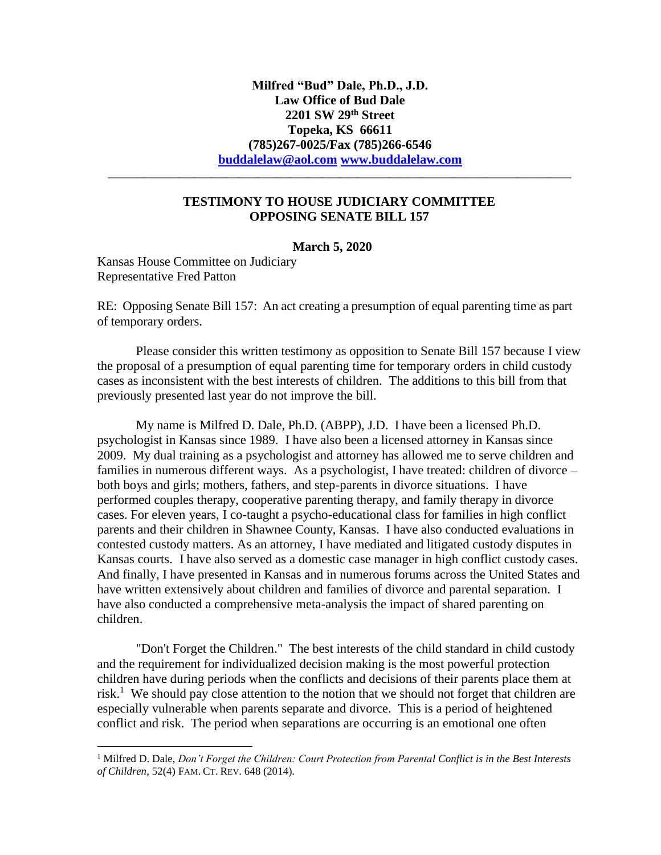## **TESTIMONY TO HOUSE JUDICIARY COMMITTEE OPPOSING SENATE BILL 157**

\_\_\_\_\_\_\_\_\_\_\_\_\_\_\_\_\_\_\_\_\_\_\_\_\_\_\_\_\_\_\_\_\_\_\_\_\_\_\_\_\_\_\_\_\_\_\_\_\_\_\_\_\_\_\_\_\_\_\_\_\_\_\_\_\_\_\_\_\_\_\_\_\_\_\_\_\_\_\_\_\_\_\_\_\_\_

## **March 5, 2020**

Kansas House Committee on Judiciary Representative Fred Patton

RE: Opposing Senate Bill 157: An act creating a presumption of equal parenting time as part of temporary orders.

Please consider this written testimony as opposition to Senate Bill 157 because I view the proposal of a presumption of equal parenting time for temporary orders in child custody cases as inconsistent with the best interests of children. The additions to this bill from that previously presented last year do not improve the bill.

My name is Milfred D. Dale, Ph.D. (ABPP), J.D. I have been a licensed Ph.D. psychologist in Kansas since 1989. I have also been a licensed attorney in Kansas since 2009. My dual training as a psychologist and attorney has allowed me to serve children and families in numerous different ways. As a psychologist, I have treated: children of divorce – both boys and girls; mothers, fathers, and step-parents in divorce situations. I have performed couples therapy, cooperative parenting therapy, and family therapy in divorce cases. For eleven years, I co-taught a psycho-educational class for families in high conflict parents and their children in Shawnee County, Kansas. I have also conducted evaluations in contested custody matters. As an attorney, I have mediated and litigated custody disputes in Kansas courts. I have also served as a domestic case manager in high conflict custody cases. And finally, I have presented in Kansas and in numerous forums across the United States and have written extensively about children and families of divorce and parental separation. I have also conducted a comprehensive meta-analysis the impact of shared parenting on children.

"Don't Forget the Children." The best interests of the child standard in child custody and the requirement for individualized decision making is the most powerful protection children have during periods when the conflicts and decisions of their parents place them at risk.<sup>1</sup> We should pay close attention to the notion that we should not forget that children are especially vulnerable when parents separate and divorce. This is a period of heightened conflict and risk. The period when separations are occurring is an emotional one often

<sup>1</sup> Milfred D. Dale, *Don't Forget the Children: Court Protection from Parental Conflict is in the Best Interests of Children*, 52(4) FAM. CT. REV. 648 (2014).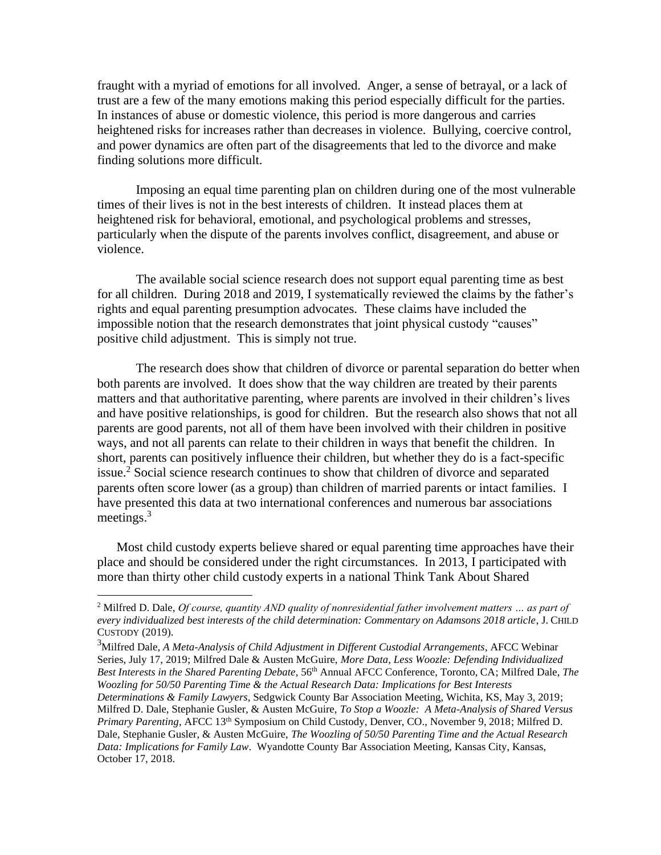fraught with a myriad of emotions for all involved. Anger, a sense of betrayal, or a lack of trust are a few of the many emotions making this period especially difficult for the parties. In instances of abuse or domestic violence, this period is more dangerous and carries heightened risks for increases rather than decreases in violence. Bullying, coercive control, and power dynamics are often part of the disagreements that led to the divorce and make finding solutions more difficult.

Imposing an equal time parenting plan on children during one of the most vulnerable times of their lives is not in the best interests of children. It instead places them at heightened risk for behavioral, emotional, and psychological problems and stresses, particularly when the dispute of the parents involves conflict, disagreement, and abuse or violence.

The available social science research does not support equal parenting time as best for all children. During 2018 and 2019, I systematically reviewed the claims by the father's rights and equal parenting presumption advocates. These claims have included the impossible notion that the research demonstrates that joint physical custody "causes" positive child adjustment. This is simply not true.

The research does show that children of divorce or parental separation do better when both parents are involved. It does show that the way children are treated by their parents matters and that authoritative parenting, where parents are involved in their children's lives and have positive relationships, is good for children. But the research also shows that not all parents are good parents, not all of them have been involved with their children in positive ways, and not all parents can relate to their children in ways that benefit the children. In short, parents can positively influence their children, but whether they do is a fact-specific issue.<sup>2</sup> Social science research continues to show that children of divorce and separated parents often score lower (as a group) than children of married parents or intact families. I have presented this data at two international conferences and numerous bar associations meetings.<sup>3</sup>

Most child custody experts believe shared or equal parenting time approaches have their place and should be considered under the right circumstances. In 2013, I participated with more than thirty other child custody experts in a national Think Tank About Shared

<sup>2</sup> Milfred D. Dale, *Of course, quantity AND quality of nonresidential father involvement matters … as part of every individualized best interests of the child determination: Commentary on Adamsons 2018 article*, J. CHILD CUSTODY (2019).

<sup>3</sup>Milfred Dale, *A Meta-Analysis of Child Adjustment in Different Custodial Arrangements*, AFCC Webinar Series, July 17, 2019; Milfred Dale & Austen McGuire, *More Data, Less Woozle: Defending Individualized Best Interests in the Shared Parenting Debate*, 56th Annual AFCC Conference, Toronto, CA; Milfred Dale, *The Woozling for 50/50 Parenting Time & the Actual Research Data: Implications for Best Interests Determinations & Family Lawyers*, Sedgwick County Bar Association Meeting, Wichita, KS, May 3, 2019; Milfred D. Dale, Stephanie Gusler, & Austen McGuire, *To Stop a Woozle: A Meta-Analysis of Shared Versus* 

*Primary Parenting*, AFCC 13th Symposium on Child Custody, Denver, CO., November 9, 2018; Milfred D. Dale, Stephanie Gusler, & Austen McGuire, *The Woozling of 50/50 Parenting Time and the Actual Research Data: Implications for Family Law*. Wyandotte County Bar Association Meeting, Kansas City, Kansas, October 17, 2018.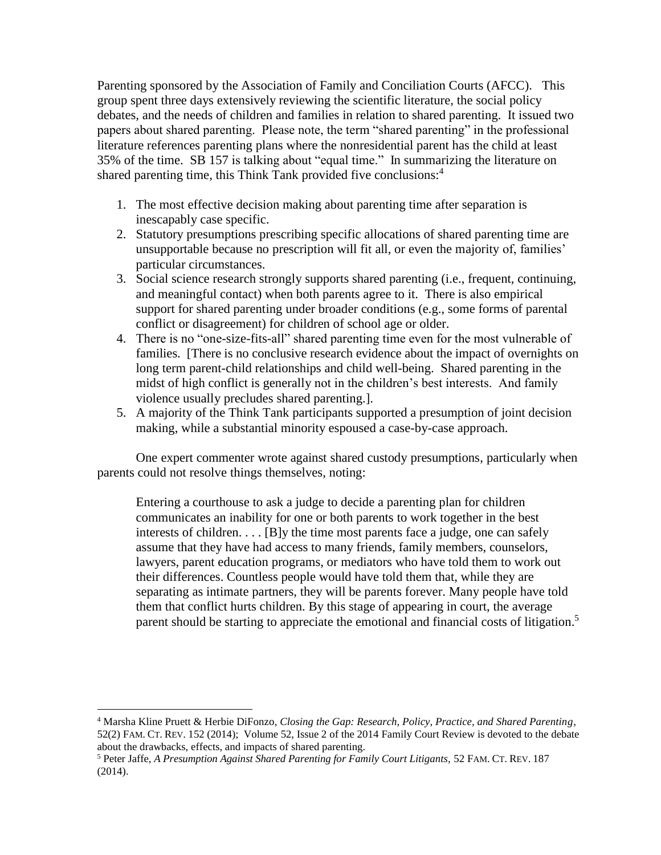Parenting sponsored by the Association of Family and Conciliation Courts (AFCC). This group spent three days extensively reviewing the scientific literature, the social policy debates, and the needs of children and families in relation to shared parenting. It issued two papers about shared parenting. Please note, the term "shared parenting" in the professional literature references parenting plans where the nonresidential parent has the child at least 35% of the time. SB 157 is talking about "equal time." In summarizing the literature on shared parenting time, this Think Tank provided five conclusions:<sup>4</sup>

- 1. The most effective decision making about parenting time after separation is inescapably case specific.
- 2. Statutory presumptions prescribing specific allocations of shared parenting time are unsupportable because no prescription will fit all, or even the majority of, families' particular circumstances.
- 3. Social science research strongly supports shared parenting (i.e., frequent, continuing, and meaningful contact) when both parents agree to it. There is also empirical support for shared parenting under broader conditions (e.g., some forms of parental conflict or disagreement) for children of school age or older.
- 4. There is no "one-size-fits-all" shared parenting time even for the most vulnerable of families. [There is no conclusive research evidence about the impact of overnights on long term parent-child relationships and child well-being. Shared parenting in the midst of high conflict is generally not in the children's best interests. And family violence usually precludes shared parenting.].
- 5. A majority of the Think Tank participants supported a presumption of joint decision making, while a substantial minority espoused a case-by-case approach.

One expert commenter wrote against shared custody presumptions, particularly when parents could not resolve things themselves, noting:

Entering a courthouse to ask a judge to decide a parenting plan for children communicates an inability for one or both parents to work together in the best interests of children. . . . [B]y the time most parents face a judge, one can safely assume that they have had access to many friends, family members, counselors, lawyers, parent education programs, or mediators who have told them to work out their differences. Countless people would have told them that, while they are separating as intimate partners, they will be parents forever. Many people have told them that conflict hurts children. By this stage of appearing in court, the average parent should be starting to appreciate the emotional and financial costs of litigation.<sup>5</sup>

<sup>4</sup> Marsha Kline Pruett & Herbie DiFonzo, *Closing the Gap: Research, Policy, Practice, and Shared Parenting*, 52(2) FAM. CT. REV. 152 (2014); Volume 52, Issue 2 of the 2014 Family Court Review is devoted to the debate about the drawbacks, effects, and impacts of shared parenting.

<sup>5</sup> Peter Jaffe, *A Presumption Against Shared Parenting for Family Court Litigants,* 52 FAM. CT. REV. 187 (2014).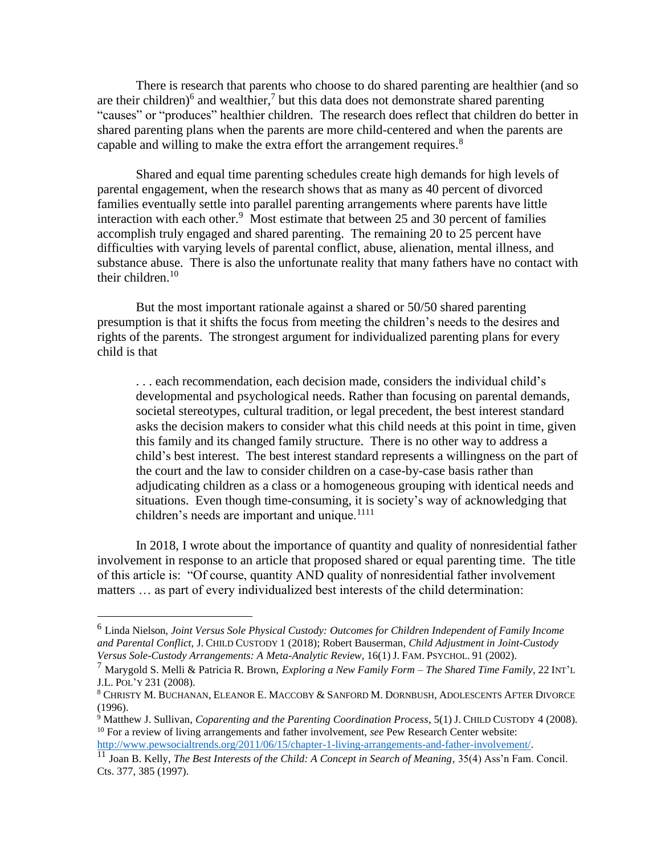There is research that parents who choose to do shared parenting are healthier (and so are their children)<sup>6</sup> and wealthier,<sup>7</sup> but this data does not demonstrate shared parenting "causes" or "produces" healthier children. The research does reflect that children do better in shared parenting plans when the parents are more child-centered and when the parents are capable and willing to make the extra effort the arrangement requires.<sup>8</sup>

Shared and equal time parenting schedules create high demands for high levels of parental engagement, when the research shows that as many as 40 percent of divorced families eventually settle into parallel parenting arrangements where parents have little interaction with each other.<sup>9</sup> Most estimate that between 25 and 30 percent of families accomplish truly engaged and shared parenting. The remaining 20 to 25 percent have difficulties with varying levels of parental conflict, abuse, alienation, mental illness, and substance abuse. There is also the unfortunate reality that many fathers have no contact with their children. $10<sup>-10</sup>$ 

But the most important rationale against a shared or 50/50 shared parenting presumption is that it shifts the focus from meeting the children's needs to the desires and rights of the parents. The strongest argument for individualized parenting plans for every child is that

. . . each recommendation, each decision made, considers the individual child's developmental and psychological needs. Rather than focusing on parental demands, societal stereotypes, cultural tradition, or legal precedent, the best interest standard asks the decision makers to consider what this child needs at this point in time, given this family and its changed family structure. There is no other way to address a child's best interest. The best interest standard represents a willingness on the part of the court and the law to consider children on a case-by-case basis rather than adjudicating children as a class or a homogeneous grouping with identical needs and situations. Even though time-consuming, it is society's way of acknowledging that children's needs are important and unique. $1111$ 

In 2018, I wrote about the importance of quantity and quality of nonresidential father involvement in response to an article that proposed shared or equal parenting time. The title of this article is: "Of course, quantity AND quality of nonresidential father involvement matters … as part of every individualized best interests of the child determination:

<sup>6</sup> Linda Nielson, *Joint Versus Sole Physical Custody: Outcomes for Children Independent of Family Income and Parental Conflict,* J. CHILD CUSTODY 1 (2018); Robert Bauserman, *Child Adjustment in Joint-Custody Versus Sole-Custody Arrangements: A Meta-Analytic Review*, 16(1) J. FAM. PSYCHOL. 91 (2002).

<sup>7</sup> Marygold S. Melli & Patricia R. Brown, *Exploring a New Family Form – The Shared Time Family*, 22 INT'<sup>L</sup> J.L. POL'Y 231 (2008).

<sup>8</sup> CHRISTY M. BUCHANAN, ELEANOR E. MACCOBY & SANFORD M. DORNBUSH, ADOLESCENTS AFTER DIVORCE (1996).

<sup>9</sup> Matthew J. Sullivan, *Coparenting and the Parenting Coordination Process*, 5(1) J. CHILD CUSTODY 4 (2008). <sup>10</sup> For a review of living arrangements and father involvement, *see* Pew Research Center website: [http://www.pewsocialtrends.org/2011/06/15/chapter-1-living-arrangements-and-father-involvement/.](http://www.pewsocialtrends.org/2011/06/15/chapter-1-living-arrangements-and-father-involvement/)

<sup>11</sup> Joan B. Kelly, *The Best Interests of the Child: A Concept in Search of Meaning,* 35(4) Ass'n Fam. Concil. Cts. 377, 385 (1997).